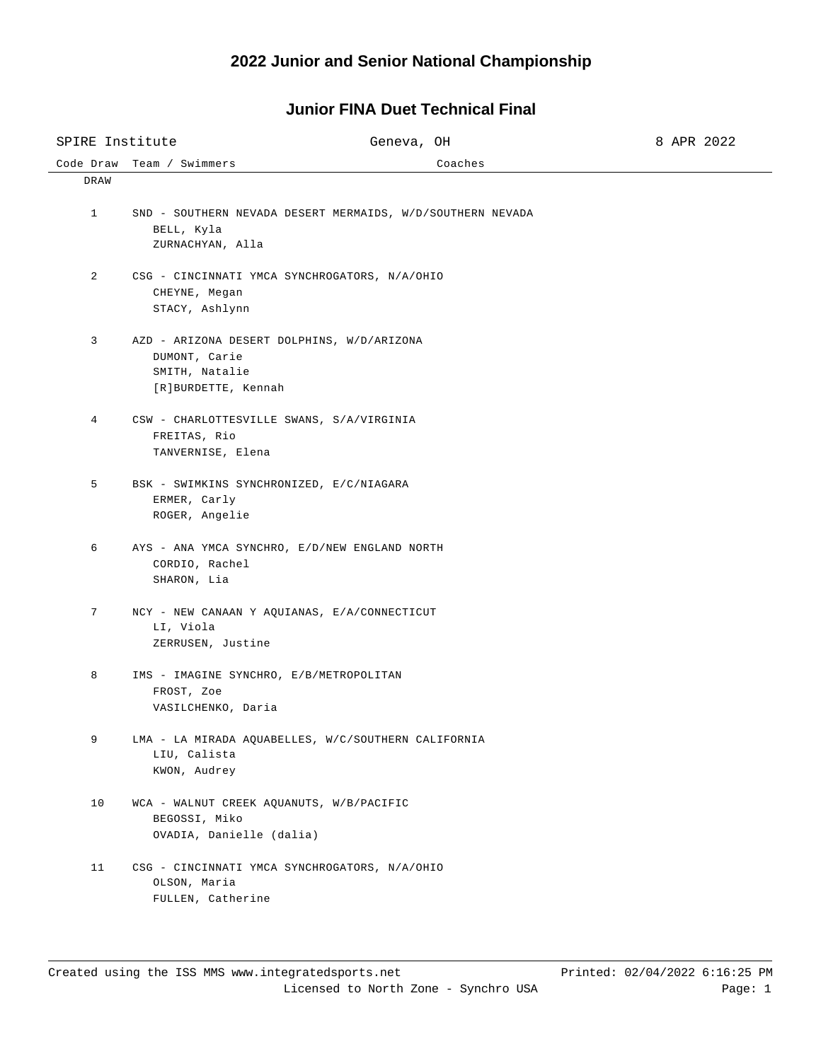#### **2022 Junior and Senior National Championship**

# Code Draw Team / Swimmers Coaches SPIRE Institute Geneva, OH 8 APR 2022 DRAW 1 SND - SOUTHERN NEVADA DESERT MERMAIDS, W/D/SOUTHERN NEVADA BELL, Kyla ZURNACHYAN, Alla 2 CSG - CINCINNATI YMCA SYNCHROGATORS, N/A/OHIO CHEYNE, Megan STACY, Ashlynn 3 AZD - ARIZONA DESERT DOLPHINS, W/D/ARIZONA DUMONT, Carie SMITH, Natalie [R]BURDETTE, Kennah 4 CSW - CHARLOTTESVILLE SWANS, S/A/VIRGINIA FREITAS, Rio TANVERNISE, Elena 5 BSK - SWIMKINS SYNCHRONIZED, E/C/NIAGARA ERMER, Carly ROGER, Angelie 6 AYS - ANA YMCA SYNCHRO, E/D/NEW ENGLAND NORTH CORDIO, Rachel SHARON, Lia 7 NCY - NEW CANAAN Y AQUIANAS, E/A/CONNECTICUT LI, Viola ZERRUSEN, Justine 8 IMS - IMAGINE SYNCHRO, E/B/METROPOLITAN FROST, Zoe VASILCHENKO, Daria 9 LMA - LA MIRADA AQUABELLES, W/C/SOUTHERN CALIFORNIA LIU, Calista KWON, Audrey 10 WCA - WALNUT CREEK AQUANUTS, W/B/PACIFIC BEGOSSI, Miko OVADIA, Danielle (dalia) 11 CSG - CINCINNATI YMCA SYNCHROGATORS, N/A/OHIO OLSON, Maria FULLEN, Catherine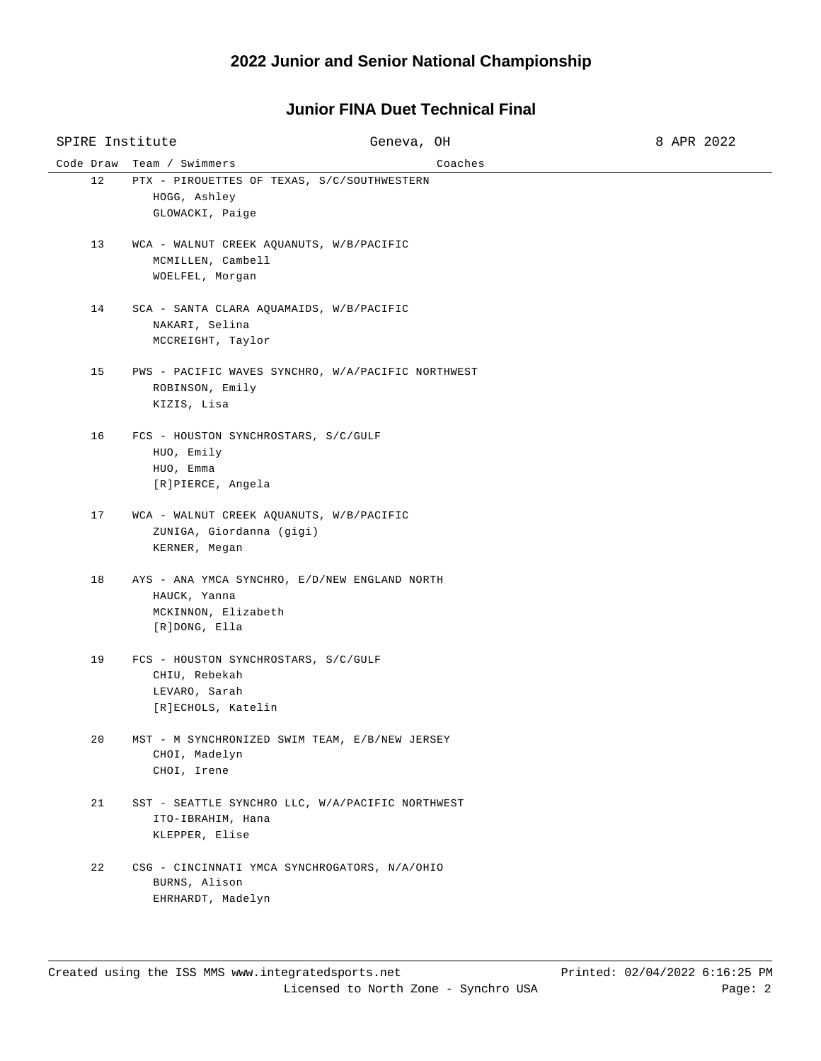## Code Draw Team / Swimmers Coaches SPIRE Institute Geneva, OH 8 APR 2022 12 PTX - PIROUETTES OF TEXAS, S/C/SOUTHWESTERN HOGG, Ashley GLOWACKI, Paige 13 WCA - WALNUT CREEK AQUANUTS, W/B/PACIFIC MCMILLEN, Cambell WOELFEL, Morgan 14 SCA - SANTA CLARA AQUAMAIDS, W/B/PACIFIC NAKARI, Selina MCCREIGHT, Taylor 15 PWS - PACIFIC WAVES SYNCHRO, W/A/PACIFIC NORTHWEST ROBINSON, Emily KIZIS, Lisa 16 FCS - HOUSTON SYNCHROSTARS, S/C/GULF HUO, Emily HUO, Emma [R]PIERCE, Angela 17 WCA - WALNUT CREEK AQUANUTS, W/B/PACIFIC ZUNIGA, Giordanna (gigi) KERNER, Megan 18 AYS - ANA YMCA SYNCHRO, E/D/NEW ENGLAND NORTH HAUCK, Yanna MCKINNON, Elizabeth [R]DONG, Ella 19 FCS - HOUSTON SYNCHROSTARS, S/C/GULF CHIU, Rebekah LEVARO, Sarah [R]ECHOLS, Katelin 20 MST - M SYNCHRONIZED SWIM TEAM, E/B/NEW JERSEY CHOI, Madelyn CHOI, Irene 21 SST - SEATTLE SYNCHRO LLC, W/A/PACIFIC NORTHWEST ITO-IBRAHIM, Hana KLEPPER, Elise 22 CSG - CINCINNATI YMCA SYNCHROGATORS, N/A/OHIO BURNS, Alison EHRHARDT, Madelyn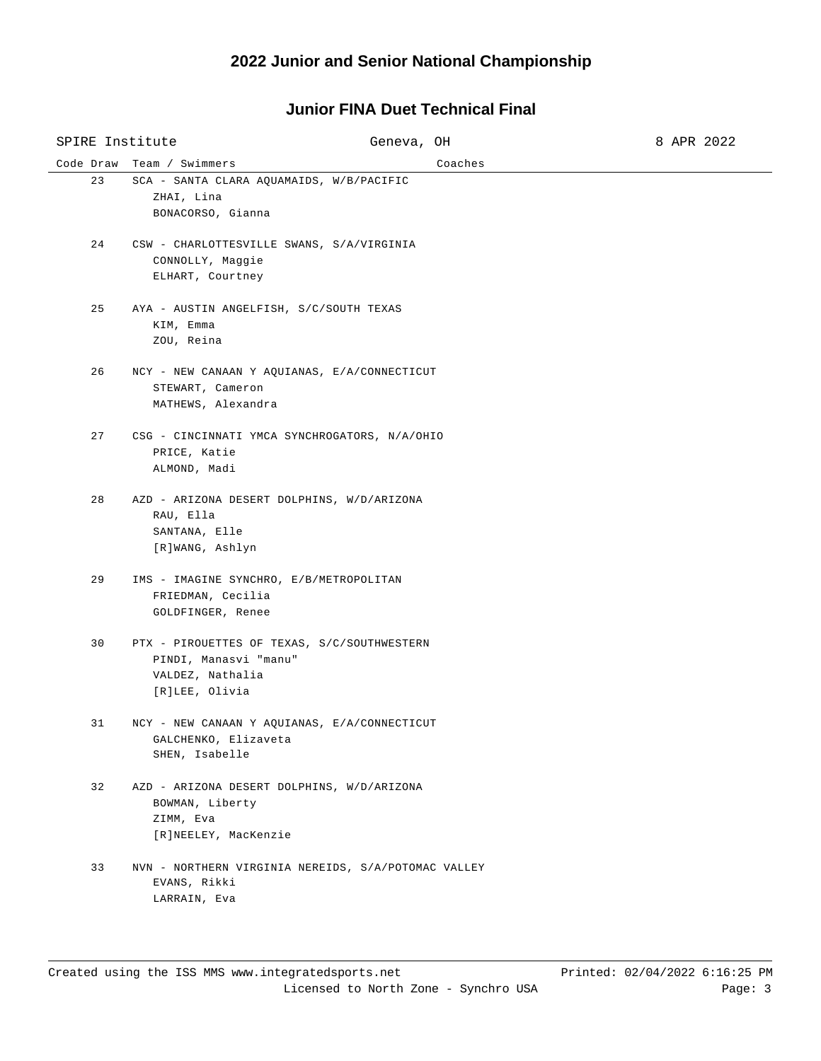## Code Draw Team / Swimmers Coaches SPIRE Institute Geneva, OH 8 APR 2022 23 SCA - SANTA CLARA AQUAMAIDS, W/B/PACIFIC ZHAI, Lina BONACORSO, Gianna 24 CSW - CHARLOTTESVILLE SWANS, S/A/VIRGINIA CONNOLLY, Maggie ELHART, Courtney 25 AYA - AUSTIN ANGELFISH, S/C/SOUTH TEXAS KIM, Emma ZOU, Reina 26 NCY - NEW CANAAN Y AQUIANAS, E/A/CONNECTICUT STEWART, Cameron MATHEWS, Alexandra 27 CSG - CINCINNATI YMCA SYNCHROGATORS, N/A/OHIO PRICE, Katie ALMOND, Madi 28 AZD - ARIZONA DESERT DOLPHINS, W/D/ARIZONA RAU, Ella SANTANA, Elle [R]WANG, Ashlyn 29 IMS - IMAGINE SYNCHRO, E/B/METROPOLITAN FRIEDMAN, Cecilia GOLDFINGER, Renee 30 PTX - PIROUETTES OF TEXAS, S/C/SOUTHWESTERN PINDI, Manasvi "manu" VALDEZ, Nathalia [R]LEE, Olivia 31 NCY - NEW CANAAN Y AQUIANAS, E/A/CONNECTICUT GALCHENKO, Elizaveta SHEN, Isabelle 32 AZD - ARIZONA DESERT DOLPHINS, W/D/ARIZONA BOWMAN, Liberty ZIMM, Eva [R]NEELEY, MacKenzie 33 NVN - NORTHERN VIRGINIA NEREIDS, S/A/POTOMAC VALLEY EVANS, Rikki LARRAIN, Eva